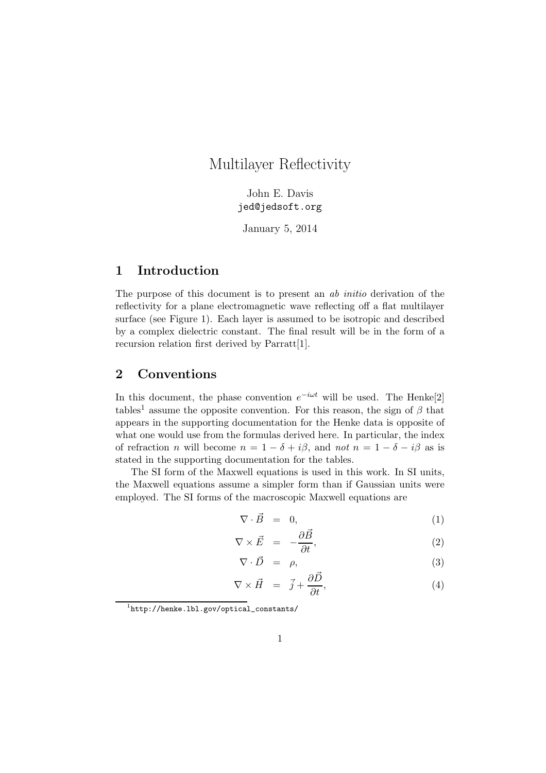# Multilayer Reflectivity

John E. Davis jed@jedsoft.org

January 5, 2014

# 1 Introduction

The purpose of this document is to present an ab initio derivation of the reflectivity for a plane electromagnetic wave reflecting off a flat multilayer surface (see Figure 1). Each layer is assumed to be isotropic and described by a complex dielectric constant. The final result will be in the form of a recursion relation first derived by Parratt[1].

### 2 Conventions

In this document, the phase convention  $e^{-i\omega t}$  will be used. The Henke<sup>[2]</sup> tables<sup>1</sup> assume the opposite convention. For this reason, the sign of  $\beta$  that appears in the supporting documentation for the Henke data is opposite of what one would use from the formulas derived here. In particular, the index of refraction n will become  $n = 1 - \delta + i\beta$ , and not  $n = 1 - \delta - i\beta$  as is stated in the supporting documentation for the tables.

The SI form of the Maxwell equations is used in this work. In SI units, the Maxwell equations assume a simpler form than if Gaussian units were employed. The SI forms of the macroscopic Maxwell equations are

$$
\nabla \cdot \vec{B} = 0, \tag{1}
$$

$$
\nabla \times \vec{E} = -\frac{\partial \vec{B}}{\partial t}, \qquad (2)
$$

$$
\nabla \cdot \vec{D} = \rho, \tag{3}
$$

$$
\nabla \times \vec{H} = \vec{j} + \frac{\partial \vec{D}}{\partial t}, \tag{4}
$$

<sup>1</sup> http://henke.lbl.gov/optical\_constants/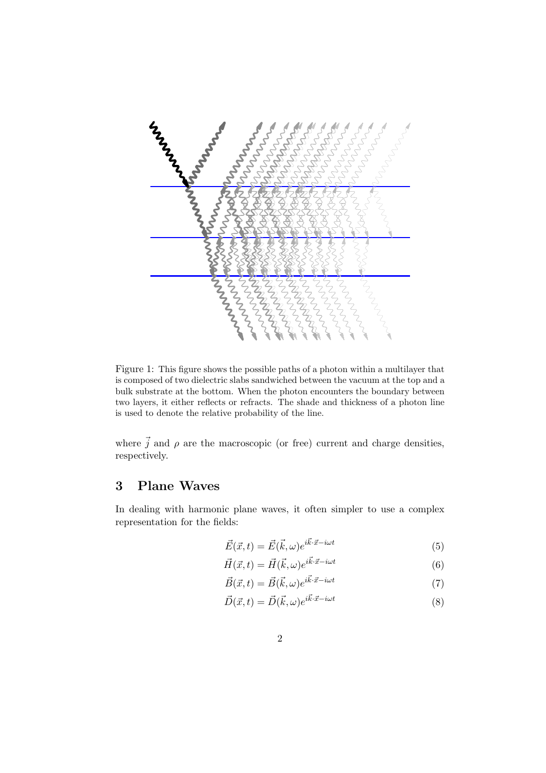

Figure 1: This figure shows the possible paths of a photon within a multilayer that is composed of two dielectric slabs sandwiched between the vacuum at the top and a bulk substrate at the bottom. When the photon encounters the boundary between two layers, it either reflects or refracts. The shade and thickness of a photon line is used to denote the relative probability of the line.

where  $\vec{j}$  and  $\rho$  are the macroscopic (or free) current and charge densities, respectively.

### 3 Plane Waves

In dealing with harmonic plane waves, it often simpler to use a complex representation for the fields:

$$
\vec{E}(\vec{x},t) = \vec{E}(\vec{k},\omega)e^{i\vec{k}\cdot\vec{x}-i\omega t}
$$
\n(5)

$$
\vec{H}(\vec{x},t) = \vec{H}(\vec{k},\omega)e^{i\vec{k}\cdot\vec{x}-i\omega t}
$$
\n(6)

$$
\vec{B}(\vec{x},t) = \vec{B}(\vec{k},\omega)e^{i\vec{k}\cdot\vec{x}-i\omega t}
$$
\n(7)

$$
\vec{D}(\vec{x},t) = \vec{D}(\vec{k},\omega)e^{i\vec{k}\cdot\vec{x}-i\omega t}
$$
\n(8)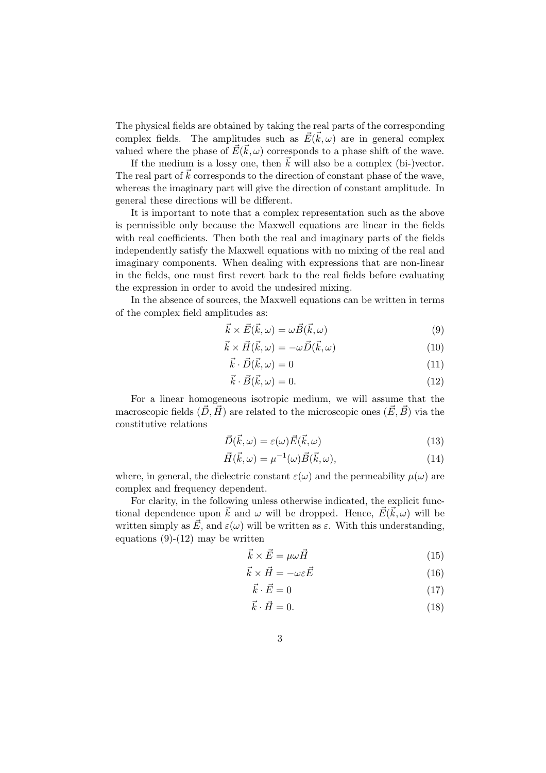The physical fields are obtained by taking the real parts of the corresponding complex fields. The amplitudes such as  $\vec{E}(\vec{k}, \omega)$  are in general complex valued where the phase of  $\vec{E}(\vec{k}, \omega)$  corresponds to a phase shift of the wave.

If the medium is a lossy one, then  $\vec{k}$  will also be a complex (bi-)vector. The real part of  $\vec{k}$  corresponds to the direction of constant phase of the wave, whereas the imaginary part will give the direction of constant amplitude. In general these directions will be different.

It is important to note that a complex representation such as the above is permissible only because the Maxwell equations are linear in the fields with real coefficients. Then both the real and imaginary parts of the fields independently satisfy the Maxwell equations with no mixing of the real and imaginary components. When dealing with expressions that are non-linear in the fields, one must first revert back to the real fields before evaluating the expression in order to avoid the undesired mixing.

In the absence of sources, the Maxwell equations can be written in terms of the complex field amplitudes as:

$$
\vec{k} \times \vec{E}(\vec{k}, \omega) = \omega \vec{B}(\vec{k}, \omega)
$$
\n(9)

$$
\vec{k} \times \vec{H}(\vec{k}, \omega) = -\omega \vec{D}(\vec{k}, \omega)
$$
 (10)

$$
\vec{k} \cdot \vec{D}(\vec{k}, \omega) = 0 \tag{11}
$$

$$
\vec{k} \cdot \vec{B}(\vec{k}, \omega) = 0. \tag{12}
$$

For a linear homogeneous isotropic medium, we will assume that the macroscopic fields  $(\vec{D}, \vec{H})$  are related to the microscopic ones  $(\vec{E}, \vec{B})$  via the constitutive relations

$$
\vec{D}(\vec{k},\omega) = \varepsilon(\omega)\vec{E}(\vec{k},\omega)
$$
\n(13)

$$
\vec{H}(\vec{k},\omega) = \mu^{-1}(\omega)\vec{B}(\vec{k},\omega),\tag{14}
$$

where, in general, the dielectric constant  $\varepsilon(\omega)$  and the permeability  $\mu(\omega)$  are complex and frequency dependent.

For clarity, in the following unless otherwise indicated, the explicit functional dependence upon  $\vec{k}$  and  $\omega$  will be dropped. Hence,  $\vec{E}(\vec{k}, \omega)$  will be written simply as  $\vec{E}$ , and  $\varepsilon(\omega)$  will be written as  $\varepsilon$ . With this understanding, equations  $(9)-(12)$  may be written

$$
\vec{k} \times \vec{E} = \mu \omega \vec{H} \tag{15}
$$

$$
\vec{k} \times \vec{H} = -\omega \varepsilon \vec{E} \tag{16}
$$

$$
\vec{k} \cdot \vec{E} = 0 \tag{17}
$$

$$
\vec{k} \cdot \vec{H} = 0. \tag{18}
$$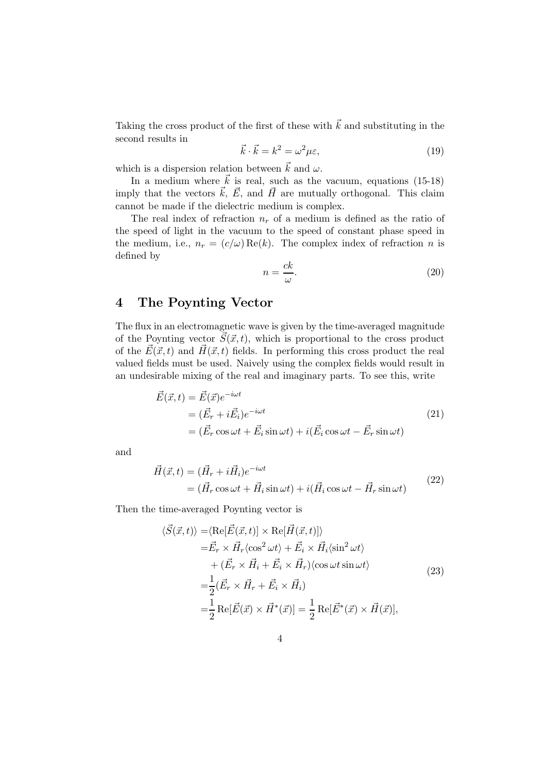Taking the cross product of the first of these with  $\vec{k}$  and substituting in the second results in

$$
\vec{k} \cdot \vec{k} = k^2 = \omega^2 \mu \varepsilon,\tag{19}
$$

which is a dispersion relation between  $\vec{k}$  and  $\omega$ .

In a medium where  $\vec{k}$  is real, such as the vacuum, equations (15-18) imply that the vectors  $\vec{k}$ ,  $\vec{E}$ , and  $\vec{H}$  are mutually orthogonal. This claim cannot be made if the dielectric medium is complex.

The real index of refraction  $n_r$  of a medium is defined as the ratio of the speed of light in the vacuum to the speed of constant phase speed in the medium, i.e.,  $n_r = (c/\omega) \text{Re}(k)$ . The complex index of refraction n is defined by

$$
n = \frac{ck}{\omega}.\tag{20}
$$

### 4 The Poynting Vector

The flux in an electromagnetic wave is given by the time-averaged magnitude of the Poynting vector  $\vec{S}(\vec{x}, t)$ , which is proportional to the cross product of the  $\vec{E}(\vec{x}, t)$  and  $\vec{H}(\vec{x}, t)$  fields. In performing this cross product the real valued fields must be used. Naively using the complex fields would result in an undesirable mixing of the real and imaginary parts. To see this, write

$$
\begin{aligned}\n\vec{E}(\vec{x},t) &= \vec{E}(\vec{x})e^{-i\omega t} \\
&= (\vec{E}_r + i\vec{E}_i)e^{-i\omega t} \\
&= (\vec{E}_r \cos \omega t + \vec{E}_i \sin \omega t) + i(\vec{E}_i \cos \omega t - \vec{E}_r \sin \omega t)\n\end{aligned} \tag{21}
$$

and

$$
\vec{H}(\vec{x},t) = (\vec{H}_r + i\vec{H}_i)e^{-i\omega t} \n= (\vec{H}_r \cos \omega t + \vec{H}_i \sin \omega t) + i(\vec{H}_i \cos \omega t - \vec{H}_r \sin \omega t)
$$
\n(22)

Then the time-averaged Poynting vector is

$$
\langle \vec{S}(\vec{x},t) \rangle = \langle \text{Re}[\vec{E}(\vec{x},t)] \times \text{Re}[\vec{H}(\vec{x},t)] \rangle
$$
  
\n
$$
= \vec{E}_r \times \vec{H}_r \langle \cos^2 \omega t \rangle + \vec{E}_i \times \vec{H}_i \langle \sin^2 \omega t \rangle
$$
  
\n
$$
+ (\vec{E}_r \times \vec{H}_i + \vec{E}_i \times \vec{H}_r) \langle \cos \omega t \sin \omega t \rangle
$$
  
\n
$$
= \frac{1}{2} (\vec{E}_r \times \vec{H}_r + \vec{E}_i \times \vec{H}_i)
$$
  
\n
$$
= \frac{1}{2} \text{Re}[\vec{E}(\vec{x}) \times \vec{H}^*(\vec{x})] = \frac{1}{2} \text{Re}[\vec{E}^*(\vec{x}) \times \vec{H}(\vec{x})],
$$
\n(23)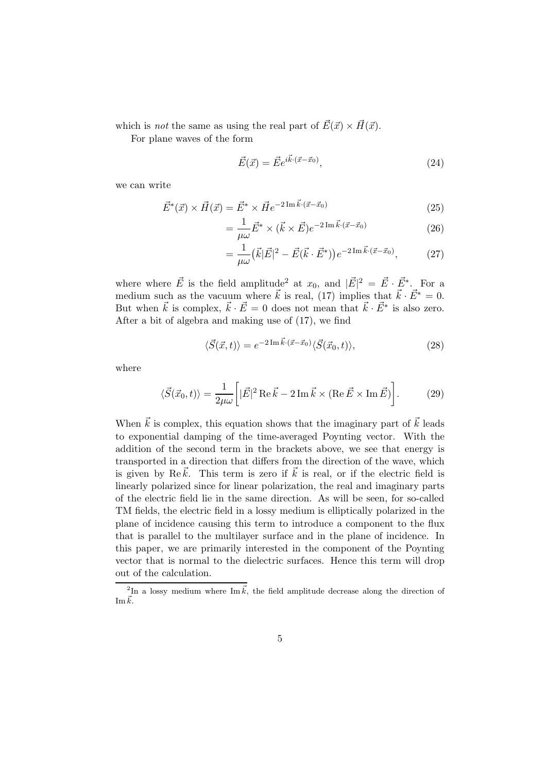which is *not* the same as using the real part of  $\vec{E}(\vec{x}) \times \vec{H}(\vec{x})$ .

For plane waves of the form

$$
\vec{E}(\vec{x}) = \vec{E}e^{i\vec{k}\cdot(\vec{x}-\vec{x}_0)},\tag{24}
$$

we can write

$$
\vec{E}^*(\vec{x}) \times \vec{H}(\vec{x}) = \vec{E}^* \times \vec{He}^{-2\operatorname{Im}\vec{k}\cdot(\vec{x}-\vec{x}_0)}
$$
(25)

$$
=\frac{1}{\mu\omega}\vec{E}^* \times (\vec{k} \times \vec{E})e^{-2\operatorname{Im}\vec{k}\cdot(\vec{x}-\vec{x}_0)}\tag{26}
$$

$$
= \frac{1}{\mu \omega} (\vec{k}|\vec{E}|^2 - \vec{E}(\vec{k} \cdot \vec{E}^*)) e^{-2\operatorname{Im} \vec{k} \cdot (\vec{x} - \vec{x}_0)}, \tag{27}
$$

where where  $\vec{E}$  is the field amplitude<sup>2</sup> at  $x_0$ , and  $|\vec{E}|^2 = \vec{E} \cdot \vec{E}^*$ . For a medium such as the vacuum where  $\vec{k}$  is real, (17) implies that  $\vec{k} \cdot \vec{E}^* = 0$ . But when  $\vec{k}$  is complex,  $\vec{k} \cdot \vec{E} = 0$  does not mean that  $\vec{k} \cdot \vec{E}^*$  is also zero. After a bit of algebra and making use of (17), we find

$$
\langle \vec{S}(\vec{x},t) \rangle = e^{-2\operatorname{Im} \vec{k} \cdot (\vec{x} - \vec{x}_0)} \langle \vec{S}(\vec{x}_0, t) \rangle, \tag{28}
$$

where

$$
\langle \vec{S}(\vec{x}_0, t) \rangle = \frac{1}{2\mu\omega} \left[ |\vec{E}|^2 \operatorname{Re} \vec{k} - 2 \operatorname{Im} \vec{k} \times (\operatorname{Re} \vec{E} \times \operatorname{Im} \vec{E}) \right]. \tag{29}
$$

When  $\vec{k}$  is complex, this equation shows that the imaginary part of  $\vec{k}$  leads to exponential damping of the time-averaged Poynting vector. With the addition of the second term in the brackets above, we see that energy is transported in a direction that differs from the direction of the wave, which is given by Re $\vec{k}$ . This term is zero if  $\vec{k}$  is real, or if the electric field is linearly polarized since for linear polarization, the real and imaginary parts of the electric field lie in the same direction. As will be seen, for so-called TM fields, the electric field in a lossy medium is elliptically polarized in the plane of incidence causing this term to introduce a component to the flux that is parallel to the multilayer surface and in the plane of incidence. In this paper, we are primarily interested in the component of the Poynting vector that is normal to the dielectric surfaces. Hence this term will drop out of the calculation.

<sup>&</sup>lt;sup>2</sup>In a lossy medium where  $\text{Im}\,\vec{k}$ , the field amplitude decrease along the direction of Im $\vec{k}$ .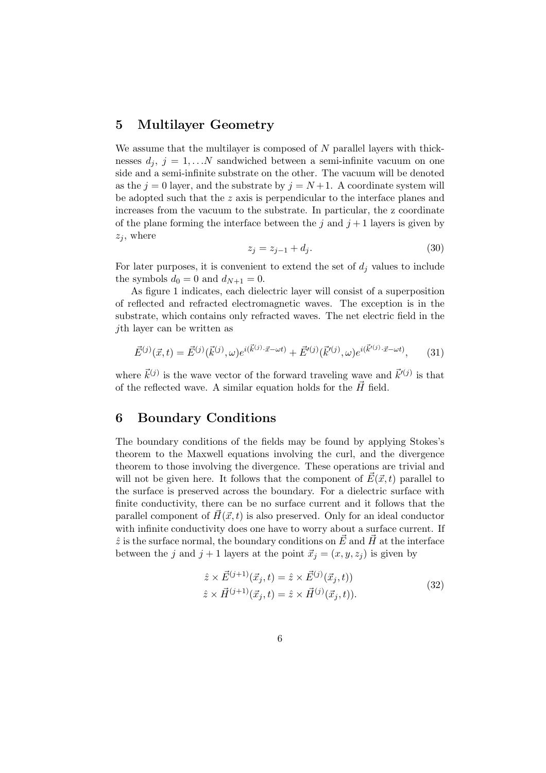### 5 Multilayer Geometry

We assume that the multilayer is composed of  $N$  parallel layers with thicknesses  $d_j$ ,  $j = 1,...N$  sandwiched between a semi-infinite vacuum on one side and a semi-infinite substrate on the other. The vacuum will be denoted as the  $j = 0$  layer, and the substrate by  $j = N + 1$ . A coordinate system will be adopted such that the z axis is perpendicular to the interface planes and increases from the vacuum to the substrate. In particular, the z coordinate of the plane forming the interface between the j and  $j + 1$  layers is given by  $z_i$ , where

$$
z_j = z_{j-1} + d_j. \t\t(30)
$$

For later purposes, it is convenient to extend the set of  $d_i$  values to include the symbols  $d_0 = 0$  and  $d_{N+1} = 0$ .

As figure 1 indicates, each dielectric layer will consist of a superposition of reflected and refracted electromagnetic waves. The exception is in the substrate, which contains only refracted waves. The net electric field in the jth layer can be written as

$$
\vec{E}^{(j)}(\vec{x},t) = \vec{E}^{(j)}(\vec{k}^{(j)},\omega)e^{i(\vec{k}^{(j)}\cdot\vec{x}-\omega t)} + \vec{E}'^{(j)}(\vec{k}'^{(j)},\omega)e^{i(\vec{k}'^{(j)}\cdot\vec{x}-\omega t)},\tag{31}
$$

where  $\vec{k}^{(j)}$  is the wave vector of the forward traveling wave and  $\vec{k}'^{(j)}$  is that of the reflected wave. A similar equation holds for the  $\vec{H}$  field.

### 6 Boundary Conditions

The boundary conditions of the fields may be found by applying Stokes's theorem to the Maxwell equations involving the curl, and the divergence theorem to those involving the divergence. These operations are trivial and will not be given here. It follows that the component of  $\vec{E}(\vec{x}, t)$  parallel to the surface is preserved across the boundary. For a dielectric surface with finite conductivity, there can be no surface current and it follows that the parallel component of  $\vec{H}(\vec{x}, t)$  is also preserved. Only for an ideal conductor with infinite conductivity does one have to worry about a surface current. If  $\hat{z}$  is the surface normal, the boundary conditions on  $\vec{E}$  and  $\vec{H}$  at the interface between the j and  $j + 1$  layers at the point  $\vec{x}_j = (x, y, z_j)$  is given by

$$
\begin{aligned}\n\hat{z} \times \vec{E}^{(j+1)}(\vec{x}_j, t) &= \hat{z} \times \vec{E}^{(j)}(\vec{x}_j, t)) \\
\hat{z} \times \vec{H}^{(j+1)}(\vec{x}_j, t) &= \hat{z} \times \vec{H}^{(j)}(\vec{x}_j, t)).\n\end{aligned} \tag{32}
$$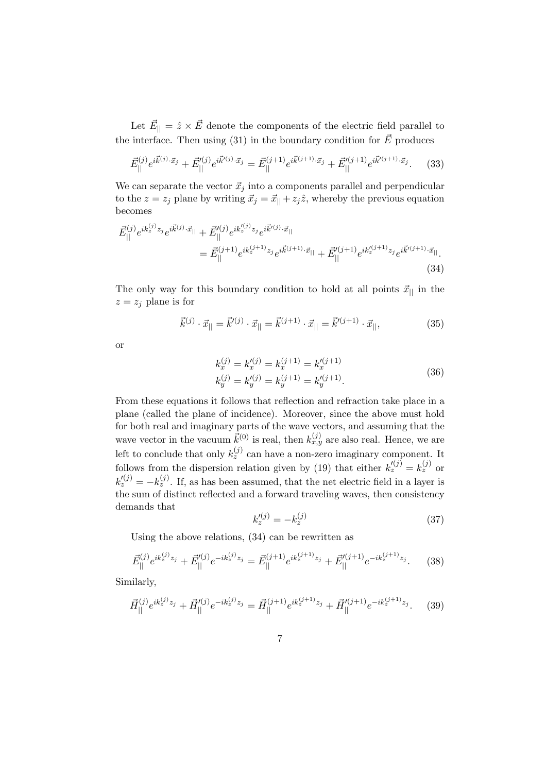Let  $\vec{E}_{\parallel} = \hat{z} \times \vec{E}$  denote the components of the electric field parallel to the interface. Then using (31) in the boundary condition for  $\vec{E}$  produces

$$
\vec{E}_{||}^{(j)} e^{i\vec{k}^{(j)} \cdot \vec{x}_j} + \vec{E}_{||}^{\prime(j)} e^{i\vec{k}^{\prime(j)} \cdot \vec{x}_j} = \vec{E}_{||}^{(j+1)} e^{i\vec{k}^{(j+1)} \cdot \vec{x}_j} + \vec{E}_{||}^{\prime(j+1)} e^{i\vec{k}^{\prime(j+1)} \cdot \vec{x}_j}.
$$
 (33)

We can separate the vector  $\vec{x}_i$  into a components parallel and perpendicular to the  $z = z_j$  plane by writing  $\vec{x}_j = \vec{x}_{||} + z_j \hat{z}$ , whereby the previous equation becomes

$$
\vec{E}_{||}^{(j)} e^{ik_z^{(j)}z_j} e^{i\vec{k}^{(j)}\cdot\vec{x}_{||}} + \vec{E}_{||}^{\prime(j)} e^{ik_z^{(j)}z_j} e^{i\vec{k}^{\prime(j)}\cdot\vec{x}_{||}} \n= \vec{E}_{||}^{(j+1)} e^{ik_z^{(j+1)}z_j} e^{i\vec{k}^{(j+1)}\cdot\vec{x}_{||}} + \vec{E}_{||}^{\prime(j+1)} e^{ik_z^{(j+1)}z_j} e^{i\vec{k}^{\prime(j+1)}\cdot\vec{x}_{||}}.
$$
\n(34)

The only way for this boundary condition to hold at all points  $\vec{x}_{\parallel}$  in the  $z = z_j$  plane is for

$$
\vec{k}^{(j)} \cdot \vec{x}_{||} = \vec{k}'^{(j)} \cdot \vec{x}_{||} = \vec{k}^{(j+1)} \cdot \vec{x}_{||} = \vec{k}'^{(j+1)} \cdot \vec{x}_{||},\tag{35}
$$

or

$$
k_x^{(j)} = k_x'^{(j)} = k_x^{(j+1)} = k_x'^{(j+1)}
$$
  
\n
$$
k_y^{(j)} = k_y'^{(j)} = k_y^{(j+1)} = k_y'^{(j+1)}.
$$
\n(36)

From these equations it follows that reflection and refraction take place in a plane (called the plane of incidence). Moreover, since the above must hold for both real and imaginary parts of the wave vectors, and assuming that the wave vector in the vacuum  $\vec{k}^{(0)}$  is real, then  $k_{x,y}^{(j)}$  are also real. Hence, we are left to conclude that only  $k_z^{(j)}$  can have a non-zero imaginary component. It follows from the dispersion relation given by (19) that either  $k_z^{(j)} = k_z^{(j)}$  or  $k'_z^{(j)} = -k_z^{(j)}$ . If, as has been assumed, that the net electric field in a layer is the sum of distinct reflected and a forward traveling waves, then consistency demands that

$$
k_z'^{(j)} = -k_z^{(j)} \tag{37}
$$

Using the above relations, (34) can be rewritten as

$$
\vec{E}_{\parallel}^{(j)} e^{ik_z^{(j)} z_j} + \vec{E}_{\parallel}^{\prime (j)} e^{-ik_z^{(j)} z_j} = \vec{E}_{\parallel}^{(j+1)} e^{ik_z^{(j+1)} z_j} + \vec{E}_{\parallel}^{\prime (j+1)} e^{-ik_z^{(j+1)} z_j}.
$$
 (38)

Similarly,

$$
\vec{H}_{\parallel}^{(j)} e^{ik_z^{(j)} z_j} + \vec{H}_{\parallel}^{\prime (j)} e^{-ik_z^{(j)} z_j} = \vec{H}_{\parallel}^{(j+1)} e^{ik_z^{(j+1)} z_j} + \vec{H}_{\parallel}^{\prime (j+1)} e^{-ik_z^{(j+1)} z_j}.
$$
 (39)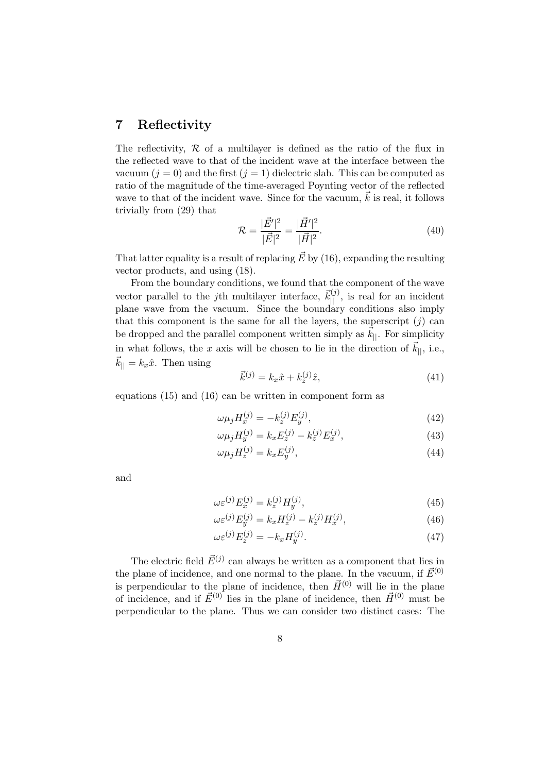### 7 Reflectivity

The reflectivity,  $R$  of a multilayer is defined as the ratio of the flux in the reflected wave to that of the incident wave at the interface between the vacuum  $(j = 0)$  and the first  $(j = 1)$  dielectric slab. This can be computed as ratio of the magnitude of the time-averaged Poynting vector of the reflected wave to that of the incident wave. Since for the vacuum,  $\vec{k}$  is real, it follows trivially from (29) that

$$
\mathcal{R} = \frac{|\vec{E}'|^2}{|\vec{E}|^2} = \frac{|\vec{H}'|^2}{|\vec{H}|^2}.
$$
\n(40)

That latter equality is a result of replacing  $\vec{E}$  by (16), expanding the resulting vector products, and using (18).

From the boundary conditions, we found that the component of the wave vector parallel to the *j*th multilayer interface,  $\vec{k}_{\parallel}^{(j)}$ , is real for an incident plane wave from the vacuum. Since the boundary conditions also imply that this component is the same for all the layers, the superscript  $(j)$  can be dropped and the parallel component written simply as  $k_{\parallel}$ . For simplicity in what follows, the x axis will be chosen to lie in the direction of  $\vec{k}_{||}$ , i.e.,  $\vec{k}_{||} = k_x \hat{x}$ . Then using

$$
\vec{k}^{(j)} = k_x \hat{x} + k_z^{(j)} \hat{z},\tag{41}
$$

equations (15) and (16) can be written in component form as

$$
\omega \mu_j H_x^{(j)} = -k_z^{(j)} E_y^{(j)},\tag{42}
$$

$$
\omega \mu_j H_y^{(j)} = k_x E_z^{(j)} - k_z^{(j)} E_x^{(j)},\tag{43}
$$

$$
\omega \mu_j H_z^{(j)} = k_x E_y^{(j)},\tag{44}
$$

and

$$
\omega \varepsilon^{(j)} E_x^{(j)} = k_z^{(j)} H_y^{(j)}, \tag{45}
$$

$$
\omega \varepsilon^{(j)} E_y^{(j)} = k_x H_z^{(j)} - k_z^{(j)} H_x^{(j)}, \tag{46}
$$

$$
\omega \varepsilon^{(j)} E_z^{(j)} = -k_x H_y^{(j)}.\tag{47}
$$

The electric field  $\vec{E}^{(j)}$  can always be written as a component that lies in the plane of incidence, and one normal to the plane. In the vacuum, if  $\vec{E}^{(0)}$ is perpendicular to the plane of incidence, then  $\vec{H}^{(0)}$  will lie in the plane of incidence, and if  $\vec{E}^{(0)}$  lies in the plane of incidence, then  $\vec{H}^{(0)}$  must be perpendicular to the plane. Thus we can consider two distinct cases: The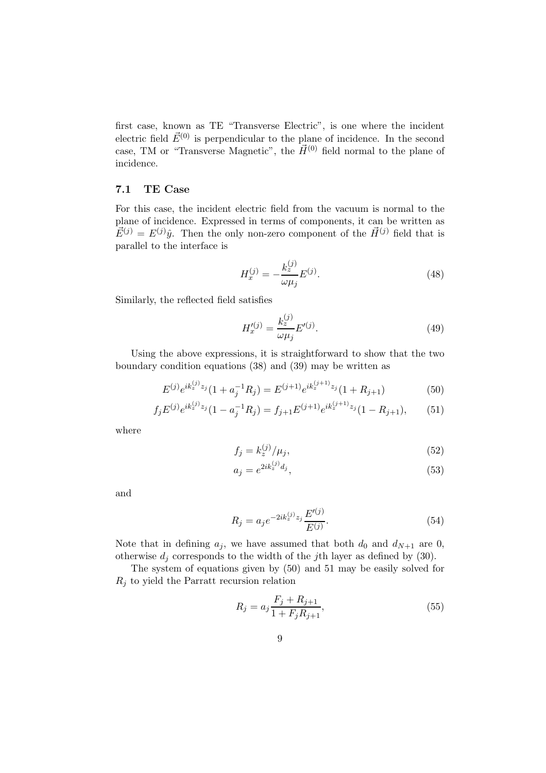first case, known as TE "Transverse Electric", is one where the incident electric field  $\vec{E}^{(0)}$  is perpendicular to the plane of incidence. In the second case, TM or "Transverse Magnetic", the  $\vec{H}^{(0)}$  field normal to the plane of incidence.

#### 7.1 TE Case

For this case, the incident electric field from the vacuum is normal to the plane of incidence. Expressed in terms of components, it can be written as  $\vec{E}^{(j)} = E^{(j)}\hat{y}$ . Then the only non-zero component of the  $\vec{H}^{(j)}$  field that is parallel to the interface is

$$
H_x^{(j)} = -\frac{k_z^{(j)}}{\omega \mu_j} E^{(j)}.
$$
\n(48)

Similarly, the reflected field satisfies

$$
H_x'^{(j)} = \frac{k_z^{(j)}}{\omega \mu_j} E'^{(j)}.
$$
\n(49)

Using the above expressions, it is straightforward to show that the two boundary condition equations (38) and (39) may be written as

$$
E^{(j)}e^{ik_z^{(j)}z_j}(1+a_j^{-1}R_j) = E^{(j+1)}e^{ik_z^{(j+1)}z_j}(1+R_{j+1})
$$
\n(50)

$$
f_j E^{(j)} e^{ik_z^{(j)} z_j} (1 - a_j^{-1} R_j) = f_{j+1} E^{(j+1)} e^{ik_z^{(j+1)} z_j} (1 - R_{j+1}), \qquad (51)
$$

where

$$
f_j = k_z^{(j)} / \mu_j,\tag{52}
$$

$$
a_j = e^{2ik_z^{(j)}d_j},\tag{53}
$$

and

$$
R_j = a_j e^{-2ik_z^{(j)}z_j} \frac{E'^{(j)}}{E^{(j)}}.
$$
\n(54)

Note that in defining  $a_j$ , we have assumed that both  $d_0$  and  $d_{N+1}$  are 0, otherwise  $d_i$  corresponds to the width of the jth layer as defined by (30).

The system of equations given by (50) and 51 may be easily solved for  $R_i$  to yield the Parratt recursion relation

$$
R_j = a_j \frac{F_j + R_{j+1}}{1 + F_j R_{j+1}},\tag{55}
$$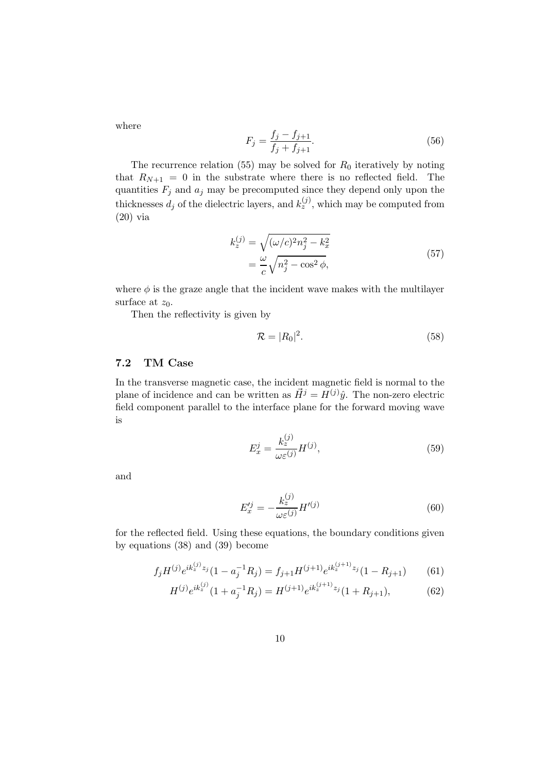where

$$
F_j = \frac{f_j - f_{j+1}}{f_j + f_{j+1}}.\tag{56}
$$

The recurrence relation (55) may be solved for  $R_0$  iteratively by noting that  $R_{N+1} = 0$  in the substrate where there is no reflected field. The quantities  $F_j$  and  $a_j$  may be precomputed since they depend only upon the thicknesses  $d_j$  of the dielectric layers, and  $k_z^{(j)}$ , which may be computed from (20) via

$$
k_z^{(j)} = \sqrt{(\omega/c)^2 n_j^2 - k_x^2}
$$
  
= 
$$
\frac{\omega}{c} \sqrt{n_j^2 - \cos^2 \phi},
$$
 (57)

where  $\phi$  is the graze angle that the incident wave makes with the multilayer surface at  $z_0$ .

Then the reflectivity is given by

$$
\mathcal{R} = |R_0|^2. \tag{58}
$$

#### 7.2 TM Case

In the transverse magnetic case, the incident magnetic field is normal to the plane of incidence and can be written as  $\vec{H}^j = \vec{H}^{(j)}\hat{y}$ . The non-zero electric field component parallel to the interface plane for the forward moving wave is

$$
E_x^j = \frac{k_z^{(j)}}{\omega \varepsilon^{(j)}} H^{(j)},
$$
\n(59)

and

$$
E_x'^j = -\frac{k_z^{(j)}}{\omega \varepsilon^{(j)}} H'^{(j)} \tag{60}
$$

for the reflected field. Using these equations, the boundary conditions given by equations (38) and (39) become

$$
f_j H^{(j)} e^{ik_z^{(j)} z_j} (1 - a_j^{-1} R_j) = f_{j+1} H^{(j+1)} e^{ik_z^{(j+1)} z_j} (1 - R_{j+1}) \tag{61}
$$

$$
H^{(j)}e^{ik_z^{(j)}}(1 + a_j^{-1}R_j) = H^{(j+1)}e^{ik_z^{(j+1)}z_j}(1 + R_{j+1}),\tag{62}
$$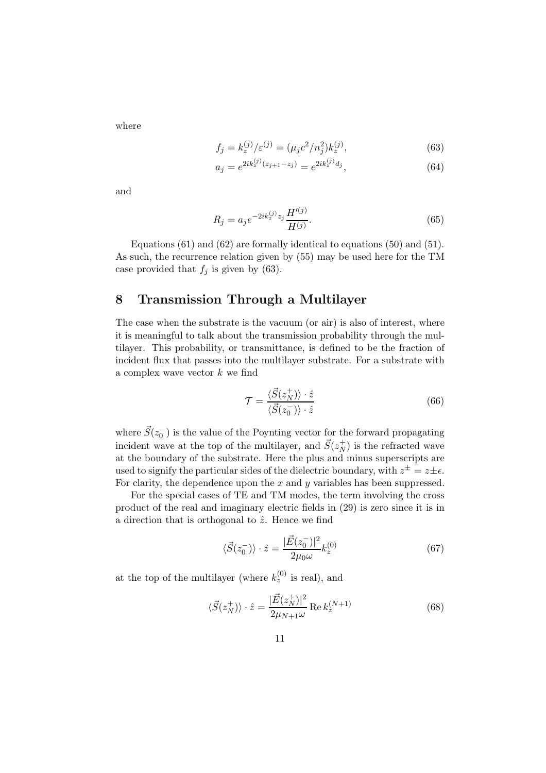where

$$
f_j = k_z^{(j)} / \varepsilon^{(j)} = (\mu_j c^2 / n_j^2) k_z^{(j)},\tag{63}
$$

$$
a_j = e^{2ik_z^{(j)}(z_{j+1} - z_j)} = e^{2ik_z^{(j)}d_j},\tag{64}
$$

and

$$
R_j = a_j e^{-2ik_z^{(j)}z_j} \frac{H'^{(j)}}{H^{(j)}}.
$$
\n(65)

Equations (61) and (62) are formally identical to equations (50) and (51). As such, the recurrence relation given by (55) may be used here for the TM case provided that  $f_j$  is given by (63).

# 8 Transmission Through a Multilayer

The case when the substrate is the vacuum (or air) is also of interest, where it is meaningful to talk about the transmission probability through the multilayer. This probability, or transmittance, is defined to be the fraction of incident flux that passes into the multilayer substrate. For a substrate with a complex wave vector  $k$  we find

$$
\mathcal{T} = \frac{\langle \vec{S}(z_N^+) \rangle \cdot \hat{z}}{\langle \vec{S}(z_0^-) \rangle \cdot \hat{z}} \tag{66}
$$

where  $\vec{S}(z_0^-)$  is the value of the Poynting vector for the forward propagating incident wave at the top of the multilayer, and  $\vec{S}(z_N^+)$  is the refracted wave at the boundary of the substrate. Here the plus and minus superscripts are used to signify the particular sides of the dielectric boundary, with  $z^{\pm} = z \pm \epsilon$ . For clarity, the dependence upon the  $x$  and  $y$  variables has been suppressed.

For the special cases of TE and TM modes, the term involving the cross product of the real and imaginary electric fields in (29) is zero since it is in a direction that is orthogonal to  $\hat{z}$ . Hence we find

$$
\langle \vec{S}(z_0^-) \rangle \cdot \hat{z} = \frac{|\vec{E}(z_0^-)|^2}{2\mu_0 \omega} k_z^{(0)} \tag{67}
$$

at the top of the multilayer (where  $k_z^{(0)}$  is real), and

$$
\langle \vec{S}(z_N^+) \rangle \cdot \hat{z} = \frac{|\vec{E}(z_N^+)|^2}{2\mu_{N+1}\omega} \operatorname{Re} k_z^{(N+1)} \tag{68}
$$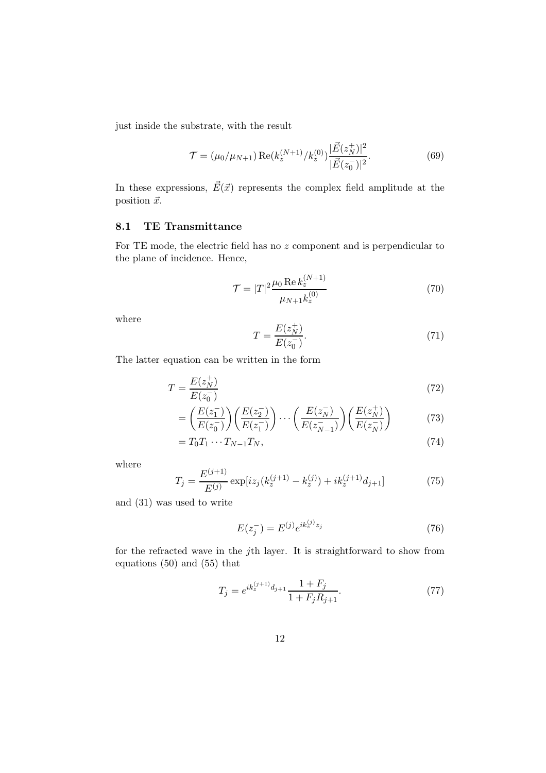just inside the substrate, with the result

$$
\mathcal{T} = (\mu_0/\mu_{N+1}) \operatorname{Re}(k_z^{(N+1)}/k_z^{(0)}) \frac{|\vec{E}(z_N^+)|^2}{|\vec{E}(z_0^-)|^2}.
$$
 (69)

In these expressions,  $\vec{E}(\vec{x})$  represents the complex field amplitude at the position  $\vec{x}$ .

#### 8.1 TE Transmittance

For TE mode, the electric field has no z component and is perpendicular to the plane of incidence. Hence,

$$
\mathcal{T} = |T|^2 \frac{\mu_0 \operatorname{Re} k_z^{(N+1)}}{\mu_{N+1} k_z^{(0)}}
$$
\n(70)

where

$$
T = \frac{E(z_N^+)}{E(z_0^-)}.
$$
\n(71)

The latter equation can be written in the form

$$
T = \frac{E(z_N^+)}{E(z_0^-)}
$$
\n(72)

$$
= \left(\frac{E(z_1^-)}{E(z_0^-)}\right) \left(\frac{E(z_2^-)}{E(z_1^-)}\right) \cdots \left(\frac{E(z_N^-)}{E(z_{N-1}^-)}\right) \left(\frac{E(z_N^+)}{E(z_N^-)}\right) \tag{73}
$$

$$
=T_0T_1\cdots T_{N-1}T_N,\t\t(74)
$$

where

$$
T_j = \frac{E^{(j+1)}}{E^{(j)}} \exp[iz_j(k_z^{(j+1)} - k_z^{(j)}) + ik_z^{(j+1)}d_{j+1}]
$$
 (75)

and (31) was used to write

$$
E(z_j^-) = E^{(j)} e^{ik_z^{(j)} z_j}
$$
\n(76)

for the refracted wave in the jth layer. It is straightforward to show from equations (50) and (55) that

$$
T_j = e^{ik_z^{(j+1)}d_{j+1}} \frac{1+F_j}{1+F_j R_{j+1}}.\tag{77}
$$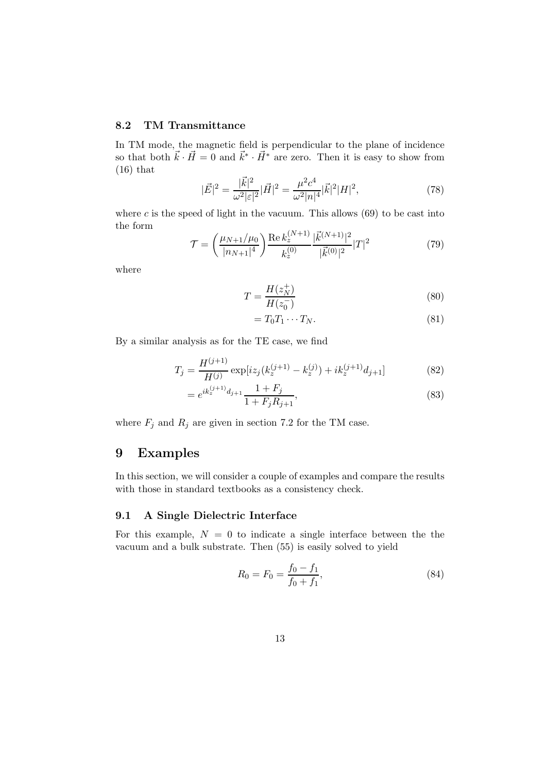#### 8.2 TM Transmittance

In TM mode, the magnetic field is perpendicular to the plane of incidence so that both  $\vec{k} \cdot \vec{H} = 0$  and  $\vec{k}^* \cdot \vec{H}^*$  are zero. Then it is easy to show from  $(16)$  that

$$
|\vec{E}|^2 = \frac{|\vec{k}|^2}{\omega^2 |\varepsilon|^2} |\vec{H}|^2 = \frac{\mu^2 c^4}{\omega^2 |n|^4} |\vec{k}|^2 |H|^2,\tag{78}
$$

where  $c$  is the speed of light in the vacuum. This allows  $(69)$  to be cast into the form

$$
\mathcal{T} = \left(\frac{\mu_{N+1}/\mu_0}{|n_{N+1}|^4}\right) \frac{\text{Re } k_z^{(N+1)}}{k_z^{(0)}} \frac{|\vec{k}^{(N+1)}|^2}{|\vec{k}^{(0)}|^2} |T|^2 \tag{79}
$$

where

$$
T = \frac{H(z_N^+)}{H(z_0^-)}
$$
\n(80)

$$
=T_0T_1\cdots T_N.\tag{81}
$$

By a similar analysis as for the TE case, we find

$$
T_j = \frac{H^{(j+1)}}{H^{(j)}} \exp[iz_j(k_z^{(j+1)} - k_z^{(j)}) + ik_z^{(j+1)}d_{j+1}] \tag{82}
$$

$$
= e^{ik_z^{(j+1)}d_{j+1}} \frac{1+F_j}{1+F_j R_{j+1}},\tag{83}
$$

where  $F_j$  and  $R_j$  are given in section 7.2 for the TM case.

# 9 Examples

In this section, we will consider a couple of examples and compare the results with those in standard textbooks as a consistency check.

#### 9.1 A Single Dielectric Interface

For this example,  $N = 0$  to indicate a single interface between the the vacuum and a bulk substrate. Then (55) is easily solved to yield

$$
R_0 = F_0 = \frac{f_0 - f_1}{f_0 + f_1},\tag{84}
$$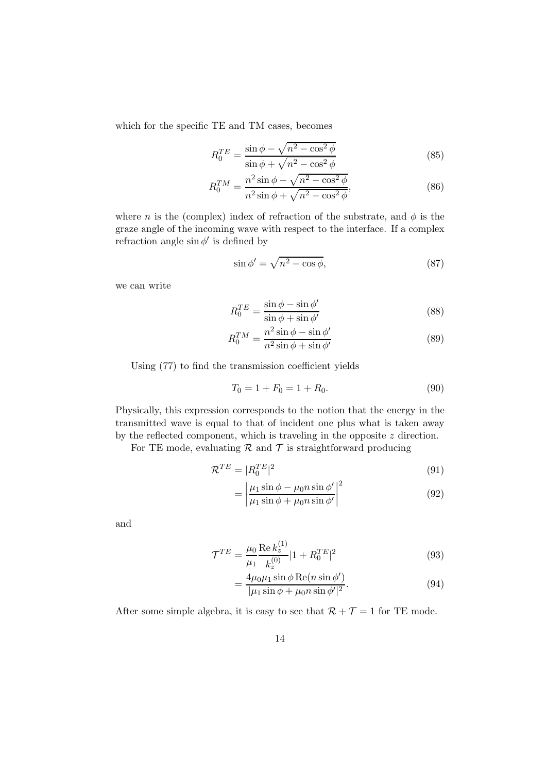which for the specific TE and TM cases, becomes

$$
R_0^{TE} = \frac{\sin\phi - \sqrt{n^2 - \cos^2\phi}}{\sin\phi + \sqrt{n^2 - \cos^2\phi}}
$$
(85)

$$
R_0^{TM} = \frac{n^2 \sin \phi - \sqrt{n^2 - \cos^2 \phi}}{n^2 \sin \phi + \sqrt{n^2 - \cos^2 \phi}},
$$
\n(86)

where n is the (complex) index of refraction of the substrate, and  $\phi$  is the graze angle of the incoming wave with respect to the interface. If a complex refraction angle  $\sin \phi'$  is defined by

$$
\sin \phi' = \sqrt{n^2 - \cos \phi},\tag{87}
$$

we can write

$$
R_0^{TE} = \frac{\sin \phi - \sin \phi'}{\sin \phi + \sin \phi'}
$$
 (88)

$$
R_0^{TM} = \frac{n^2 \sin \phi - \sin \phi'}{n^2 \sin \phi + \sin \phi'}
$$
 (89)

Using (77) to find the transmission coefficient yields

$$
T_0 = 1 + F_0 = 1 + R_0. \tag{90}
$$

Physically, this expression corresponds to the notion that the energy in the transmitted wave is equal to that of incident one plus what is taken away by the reflected component, which is traveling in the opposite z direction.

For TE mode, evaluating  $\mathcal R$  and  $\mathcal T$  is straightforward producing

$$
\mathcal{R}^{TE} = |R_0^{TE}|^2 \tag{91}
$$

$$
= \left| \frac{\mu_1 \sin \phi - \mu_0 n \sin \phi'}{\mu_1 \sin \phi + \mu_0 n \sin \phi'} \right|^2 \tag{92}
$$

and

$$
\mathcal{T}^{TE} = \frac{\mu_0}{\mu_1} \frac{\text{Re } k_z^{(1)}}{k_z^{(0)}} |1 + R_0^{TE}|^2 \tag{93}
$$

$$
= \frac{4\mu_0\mu_1\sin\phi\operatorname{Re}(n\sin\phi')}{|\mu_1\sin\phi + \mu_0n\sin\phi'|^2}.
$$
 (94)

After some simple algebra, it is easy to see that  $\mathcal{R} + \mathcal{T} = 1$  for TE mode.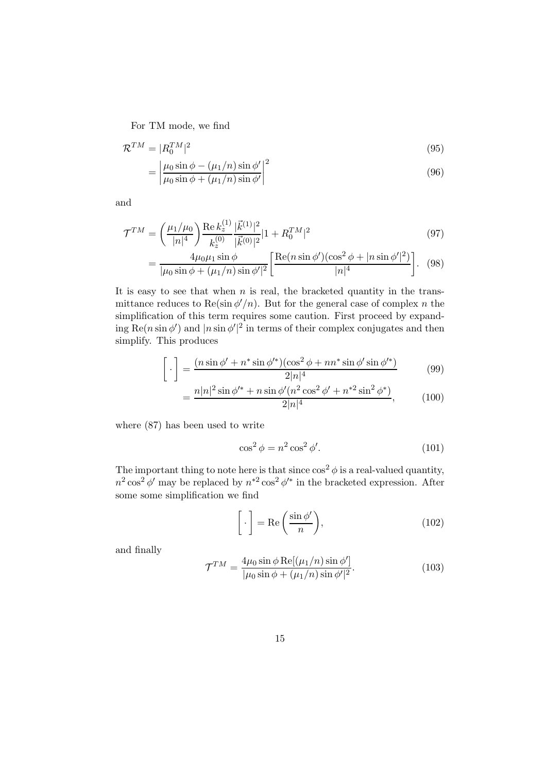For TM mode, we find

$$
\mathcal{R}^{TM} = |R_0^{TM}|^2
$$
  
=  $\left| \frac{\mu_0 \sin \phi - (\mu_1/n) \sin \phi'}{\mu_0 \sin \phi + (\mu_1/n) \sin \phi'} \right|^2$  (96)

and

$$
\mathcal{T}^{TM} = \left(\frac{\mu_1/\mu_0}{|n|^4}\right) \frac{\text{Re } k_z^{(1)}}{k_z^{(0)}} \frac{|\vec{k}^{(1)}|^2}{|\vec{k}^{(0)}|^2} |1 + R_0^{TM}|^2 \tag{97}
$$

$$
= \frac{4\mu_0\mu_1\sin\phi}{|\mu_0\sin\phi + (\mu_1/n)\sin\phi'|^2} \left[ \frac{\text{Re}(n\sin\phi')(\cos^2\phi + |n\sin\phi'|^2)}{|n|^4} \right]. \tag{98}
$$

It is easy to see that when  $n$  is real, the bracketed quantity in the transmittance reduces to  $\text{Re}(\sin \phi'/n)$ . But for the general case of complex n the simplification of this term requires some caution. First proceed by expanding Re $(n \sin \phi')$  and  $|n \sin \phi'|^2$  in terms of their complex conjugates and then simplify. This produces

$$
\[\cdot\] = \frac{(n\sin\phi' + n^*\sin\phi'^*)(\cos^2\phi + nn^*\sin\phi'\sin\phi'^*)}{2|n|^4} \tag{99}
$$

$$
= \frac{n|n|^2\sin\phi'^* + n\sin\phi'(n^2\cos^2\phi' + n^{*2}\sin^2\phi^*)}{2|n|^4},\tag{100}
$$

where (87) has been used to write

$$
\cos^2 \phi = n^2 \cos^2 \phi'.\tag{101}
$$

The important thing to note here is that since  $\cos^2 \phi$  is a real-valued quantity,  $n^2 \cos^2 \phi'$  may be replaced by  $n^{*2} \cos^2 \phi'^*$  in the bracketed expression. After some some simplification we find

$$
\[ \cdot \] = \text{Re}\left(\frac{\sin \phi'}{n}\right),\tag{102}
$$

and finally

$$
\mathcal{T}^{TM} = \frac{4\mu_0 \sin \phi \operatorname{Re}[(\mu_1/n)\sin \phi']}{|\mu_0 \sin \phi + (\mu_1/n)\sin \phi'|^2}.
$$
\n(103)